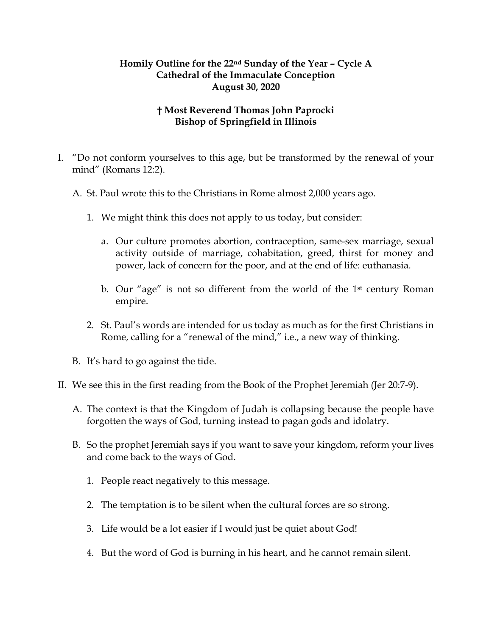## **Homily Outline for the 22nd Sunday of the Year – Cycle A Cathedral of the Immaculate Conception August 30, 2020**

## **† Most Reverend Thomas John Paprocki Bishop of Springfield in Illinois**

- I. "Do not conform yourselves to this age, but be transformed by the renewal of your mind" (Romans 12:2).
	- A. St. Paul wrote this to the Christians in Rome almost 2,000 years ago.
		- 1. We might think this does not apply to us today, but consider:
			- a. Our culture promotes abortion, contraception, same-sex marriage, sexual activity outside of marriage, cohabitation, greed, thirst for money and power, lack of concern for the poor, and at the end of life: euthanasia.
			- b. Our "age" is not so different from the world of the 1st century Roman empire.
		- 2. St. Paul's words are intended for us today as much as for the first Christians in Rome, calling for a "renewal of the mind," i.e., a new way of thinking.
	- B. It's hard to go against the tide.
- II. We see this in the first reading from the Book of the Prophet Jeremiah (Jer 20:7-9).
	- A. The context is that the Kingdom of Judah is collapsing because the people have forgotten the ways of God, turning instead to pagan gods and idolatry.
	- B. So the prophet Jeremiah says if you want to save your kingdom, reform your lives and come back to the ways of God.
		- 1. People react negatively to this message.
		- 2. The temptation is to be silent when the cultural forces are so strong.
		- 3. Life would be a lot easier if I would just be quiet about God!
		- 4. But the word of God is burning in his heart, and he cannot remain silent.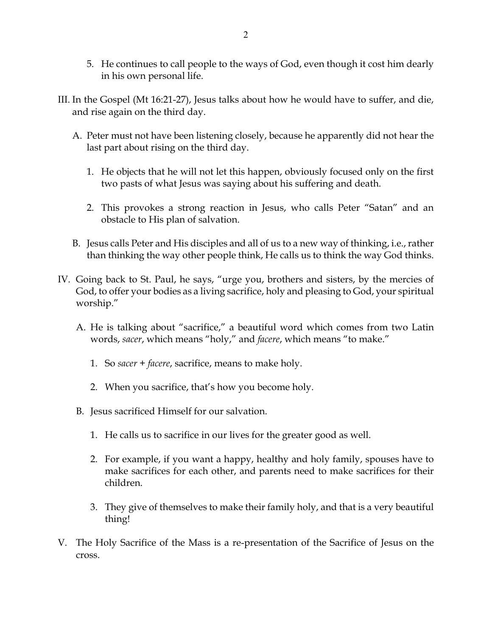- 5. He continues to call people to the ways of God, even though it cost him dearly in his own personal life.
- III. In the Gospel (Mt 16:21-27), Jesus talks about how he would have to suffer, and die, and rise again on the third day.
	- A. Peter must not have been listening closely, because he apparently did not hear the last part about rising on the third day.
		- 1. He objects that he will not let this happen, obviously focused only on the first two pasts of what Jesus was saying about his suffering and death.
		- 2. This provokes a strong reaction in Jesus, who calls Peter "Satan" and an obstacle to His plan of salvation.
	- B. Jesus calls Peter and His disciples and all of us to a new way of thinking, i.e., rather than thinking the way other people think, He calls us to think the way God thinks.
- IV. Going back to St. Paul, he says, "urge you, brothers and sisters, by the mercies of God, to offer your bodies as a living sacrifice, holy and pleasing to God, your spiritual worship."
	- A. He is talking about "sacrifice," a beautiful word which comes from two Latin words, *sacer*, which means "holy," and *facere*, which means "to make."
		- 1. So *sacer* + *facere*, sacrifice, means to make holy.
		- 2. When you sacrifice, that's how you become holy.
	- B. Jesus sacrificed Himself for our salvation.
		- 1. He calls us to sacrifice in our lives for the greater good as well.
		- 2. For example, if you want a happy, healthy and holy family, spouses have to make sacrifices for each other, and parents need to make sacrifices for their children.
		- 3. They give of themselves to make their family holy, and that is a very beautiful thing!
- V. The Holy Sacrifice of the Mass is a re-presentation of the Sacrifice of Jesus on the cross.